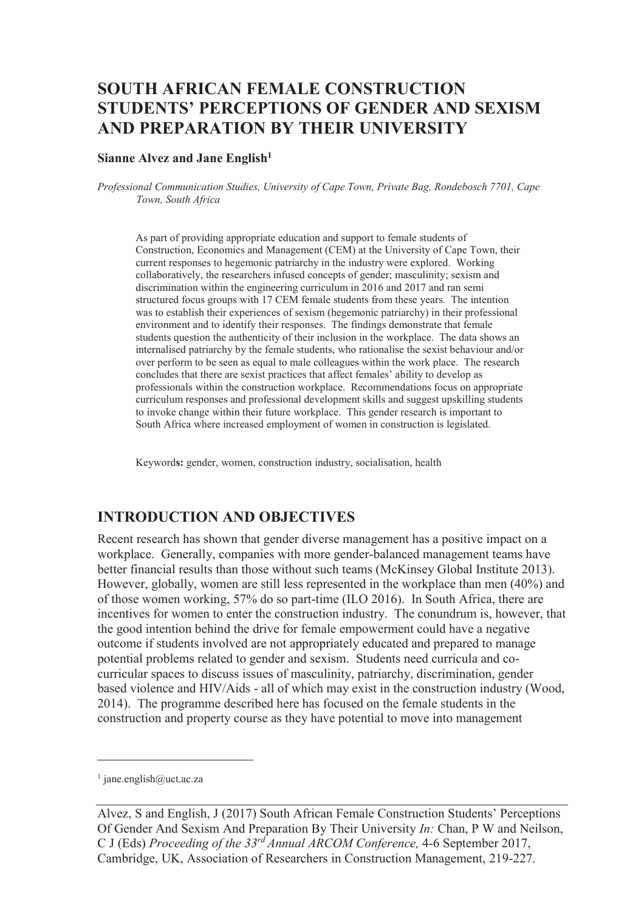# **SOUTH AFRICAN FEMALE CONSTRUCTION STUDENTS' PERCEPTIONS OF GENDER AND SEXISM AND PREPARATION BY THEIR UNIVERSITY**

#### **Sianne Alvez and Jane English<sup>1</sup>**

*Professional Communication Studies, University of Cape Town, Private Bag, Rondebosch 7701, Cape Town, South Africa* 

As part of providing appropriate education and support to female students of Construction, Economics and Management (CEM) at the University of Cape Town, their current responses to hegemonic patriarchy in the industry were explored. Working collaboratively, the researchers infused concepts of gender; masculinity; sexism and discrimination within the engineering curriculum in 2016 and 2017 and ran semi structured focus groups with 17 CEM female students from these years. The intention was to establish their experiences of sexism (hegemonic patriarchy) in their professional environment and to identify their responses. The findings demonstrate that female students question the authenticity of their inclusion in the workplace. The data shows an internalised patriarchy by the female students, who rationalise the sexist behaviour and/or over perform to be seen as equal to male colleagues within the work place. The research concludes that there are sexist practices that affect females' ability to develop as professionals within the construction workplace. Recommendations focus on appropriate curriculum responses and professional development skills and suggest upskilling students to invoke change within their future workplace. This gender research is important to South Africa where increased employment of women in construction is legislated.

Keyword**s:** gender, women, construction industry, socialisation, health

#### **INTRODUCTION AND OBJECTIVES**

Recent research has shown that gender diverse management has a positive impact on a workplace. Generally, companies with more gender-balanced management teams have better financial results than those without such teams (McKinsey Global Institute 2013). However, globally, women are still less represented in the workplace than men (40%) and of those women working, 57% do so part-time (ILO 2016). In South Africa, there are incentives for women to enter the construction industry. The conundrum is, however, that the good intention behind the drive for female empowerment could have a negative outcome if students involved are not appropriately educated and prepared to manage potential problems related to gender and sexism. Students need curricula and cocurricular spaces to discuss issues of masculinity, patriarchy, discrimination, gender based violence and HIV/Aids - all of which may exist in the construction industry (Wood, 2014). The programme described here has focused on the female students in the construction and property course as they have potential to move into management

-

<sup>1</sup> jane.english@uct.ac.za

Alvez, S and English, J (2017) South African Female Construction Students' Perceptions Of Gender And Sexism And Preparation By Their University *In:* Chan, P W and Neilson, C J (Eds) *Proceeding of the 33rd Annual ARCOM Conference,* 4-6 September 2017, Cambridge, UK, Association of Researchers in Construction Management, 219-227.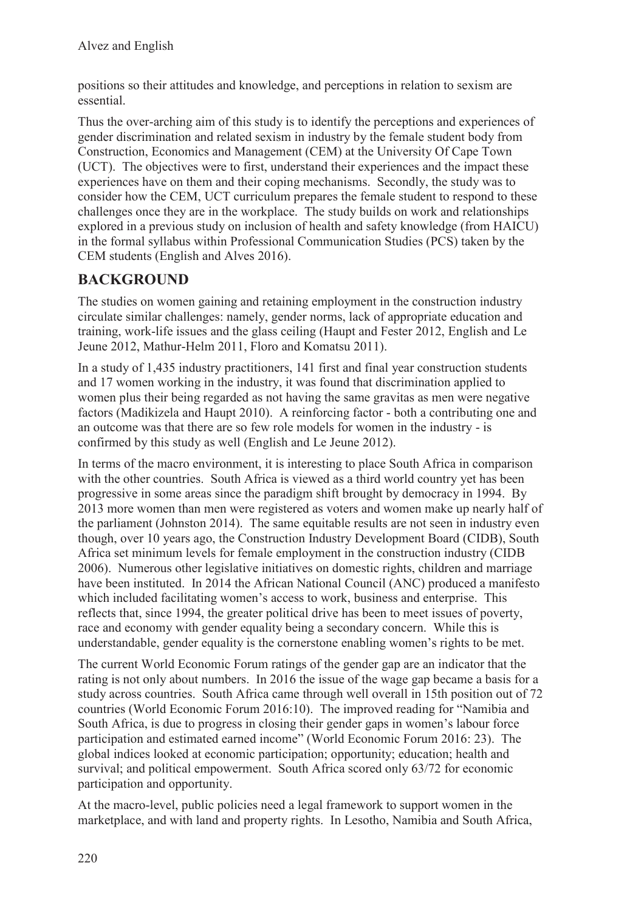positions so their attitudes and knowledge, and perceptions in relation to sexism are essential.

Thus the over-arching aim of this study is to identify the perceptions and experiences of gender discrimination and related sexism in industry by the female student body from Construction, Economics and Management (CEM) at the University Of Cape Town (UCT). The objectives were to first, understand their experiences and the impact these experiences have on them and their coping mechanisms. Secondly, the study was to consider how the CEM, UCT curriculum prepares the female student to respond to these challenges once they are in the workplace. The study builds on work and relationships explored in a previous study on inclusion of health and safety knowledge (from HAICU) in the formal syllabus within Professional Communication Studies (PCS) taken by the CEM students (English and Alves 2016).

### **BACKGROUND**

The studies on women gaining and retaining employment in the construction industry circulate similar challenges: namely, gender norms, lack of appropriate education and training, work-life issues and the glass ceiling (Haupt and Fester 2012, English and Le Jeune 2012, Mathur-Helm 2011, Floro and Komatsu 2011).

In a study of 1,435 industry practitioners, 141 first and final year construction students and 17 women working in the industry, it was found that discrimination applied to women plus their being regarded as not having the same gravitas as men were negative factors (Madikizela and Haupt 2010). A reinforcing factor - both a contributing one and an outcome was that there are so few role models for women in the industry - is confirmed by this study as well (English and Le Jeune 2012).

In terms of the macro environment, it is interesting to place South Africa in comparison with the other countries. South Africa is viewed as a third world country yet has been progressive in some areas since the paradigm shift brought by democracy in 1994. By 2013 more women than men were registered as voters and women make up nearly half of the parliament (Johnston 2014). The same equitable results are not seen in industry even though, over 10 years ago, the Construction Industry Development Board (CIDB), South Africa set minimum levels for female employment in the construction industry (CIDB 2006). Numerous other legislative initiatives on domestic rights, children and marriage have been instituted. In 2014 the African National Council (ANC) produced a manifesto which included facilitating women's access to work, business and enterprise. This reflects that, since 1994, the greater political drive has been to meet issues of poverty, race and economy with gender equality being a secondary concern. While this is understandable, gender equality is the cornerstone enabling women's rights to be met.

The current World Economic Forum ratings of the gender gap are an indicator that the rating is not only about numbers. In 2016 the issue of the wage gap became a basis for a study across countries. South Africa came through well overall in 15th position out of 72 countries (World Economic Forum 2016:10). The improved reading for "Namibia and South Africa, is due to progress in closing their gender gaps in women's labour force participation and estimated earned income" (World Economic Forum 2016: 23). The global indices looked at economic participation; opportunity; education; health and survival; and political empowerment. South Africa scored only 63/72 for economic participation and opportunity.

At the macro-level, public policies need a legal framework to support women in the marketplace, and with land and property rights. In Lesotho, Namibia and South Africa,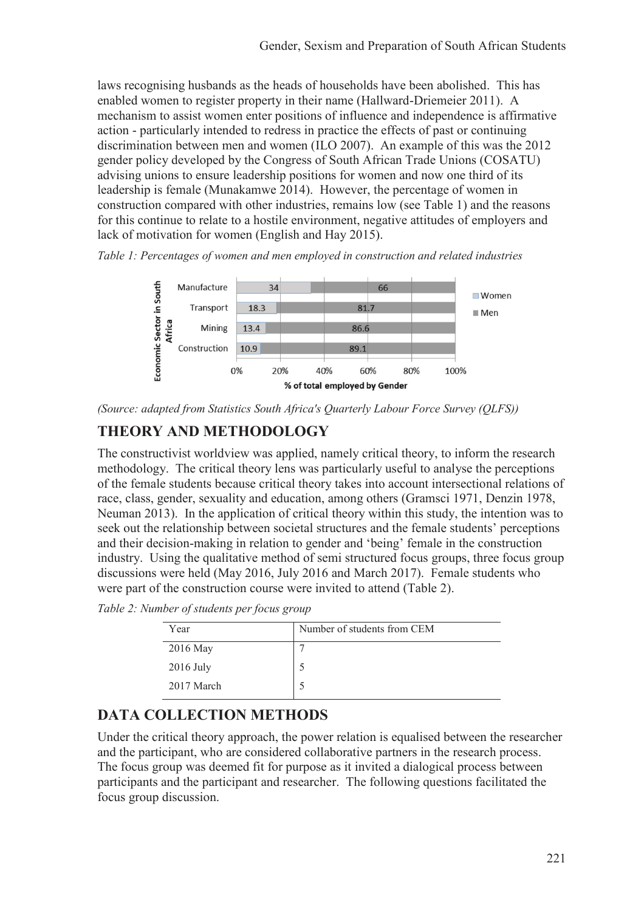laws recognising husbands as the heads of households have been abolished. This has enabled women to register property in their name (Hallward-Driemeier 2011). A mechanism to assist women enter positions of influence and independence is affirmative action - particularly intended to redress in practice the effects of past or continuing discrimination between men and women (ILO 2007). An example of this was the 2012 gender policy developed by the Congress of South African Trade Unions (COSATU) advising unions to ensure leadership positions for women and now one third of its leadership is female (Munakamwe 2014). However, the percentage of women in construction compared with other industries, remains low (see Table 1) and the reasons for this continue to relate to a hostile environment, negative attitudes of employers and lack of motivation for women (English and Hay 2015).

*Table 1: Percentages of women and men employed in construction and related industries* 



*(Source: adapted from Statistics South Africa's Quarterly Labour Force Survey (QLFS))* 

## **THEORY AND METHODOLOGY**

The constructivist worldview was applied, namely critical theory, to inform the research methodology. The critical theory lens was particularly useful to analyse the perceptions of the female students because critical theory takes into account intersectional relations of race, class, gender, sexuality and education, among others (Gramsci 1971, Denzin 1978, Neuman 2013). In the application of critical theory within this study, the intention was to seek out the relationship between societal structures and the female students' perceptions and their decision-making in relation to gender and 'being' female in the construction industry. Using the qualitative method of semi structured focus groups, three focus group discussions were held (May 2016, July 2016 and March 2017). Female students who were part of the construction course were invited to attend (Table 2).

*Table 2: Number of students per focus group* 

| Year        | Number of students from CEM |
|-------------|-----------------------------|
| 2016 May    |                             |
| $2016$ July |                             |
| 2017 March  |                             |

### **DATA COLLECTION METHODS**

Under the critical theory approach, the power relation is equalised between the researcher and the participant, who are considered collaborative partners in the research process. The focus group was deemed fit for purpose as it invited a dialogical process between participants and the participant and researcher. The following questions facilitated the focus group discussion.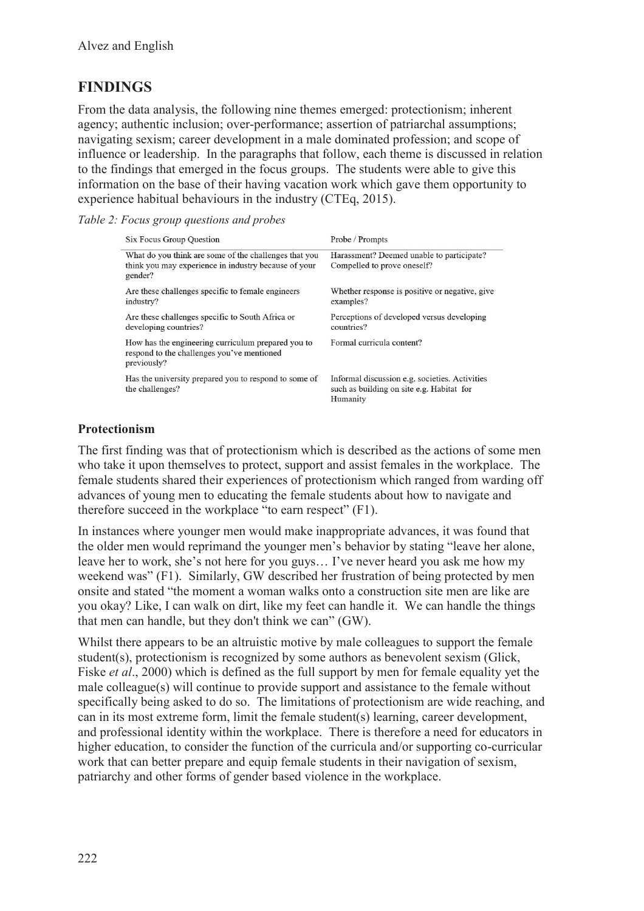### **FINDINGS**

From the data analysis, the following nine themes emerged: protectionism; inherent agency; authentic inclusion; over-performance; assertion of patriarchal assumptions; navigating sexism; career development in a male dominated profession; and scope of influence or leadership. In the paragraphs that follow, each theme is discussed in relation to the findings that emerged in the focus groups. The students were able to give this information on the base of their having vacation work which gave them opportunity to experience habitual behaviours in the industry (CTEq, 2015).

|  |  |  | Table 2: Focus group questions and probes |  |  |
|--|--|--|-------------------------------------------|--|--|
|--|--|--|-------------------------------------------|--|--|

| <b>Six Focus Group Question</b>                                                                                          | Probe / Prompts                                                                                         |  |  |
|--------------------------------------------------------------------------------------------------------------------------|---------------------------------------------------------------------------------------------------------|--|--|
| What do you think are some of the challenges that you<br>think you may experience in industry because of your<br>gender? | Harassment? Deemed unable to participate?<br>Compelled to prove oneself?                                |  |  |
| Are these challenges specific to female engineers<br>industry?                                                           | Whether response is positive or negative, give<br>examples?                                             |  |  |
| Are these challenges specific to South Africa or<br>developing countries?                                                | Perceptions of developed versus developing<br>countries?                                                |  |  |
| How has the engineering curriculum prepared you to<br>respond to the challenges you've mentioned<br>previously?          | Formal curricula content?                                                                               |  |  |
| Has the university prepared you to respond to some of<br>the challenges?                                                 | Informal discussion e.g. societies. Activities<br>such as building on site e.g. Habitat for<br>Humanity |  |  |

#### **Protectionism**

The first finding was that of protectionism which is described as the actions of some men who take it upon themselves to protect, support and assist females in the workplace. The female students shared their experiences of protectionism which ranged from warding off advances of young men to educating the female students about how to navigate and therefore succeed in the workplace "to earn respect" (F1).

In instances where younger men would make inappropriate advances, it was found that the older men would reprimand the younger men's behavior by stating "leave her alone, leave her to work, she's not here for you guys… I've never heard you ask me how my weekend was" (F1). Similarly, GW described her frustration of being protected by men onsite and stated "the moment a woman walks onto a construction site men are like are you okay? Like, I can walk on dirt, like my feet can handle it. We can handle the things that men can handle, but they don't think we can" (GW).

Whilst there appears to be an altruistic motive by male colleagues to support the female student(s), protectionism is recognized by some authors as benevolent sexism (Glick, Fiske *et al*., 2000) which is defined as the full support by men for female equality yet the male colleague(s) will continue to provide support and assistance to the female without specifically being asked to do so. The limitations of protectionism are wide reaching, and can in its most extreme form, limit the female student(s) learning, career development, and professional identity within the workplace. There is therefore a need for educators in higher education, to consider the function of the curricula and/or supporting co-curricular work that can better prepare and equip female students in their navigation of sexism, patriarchy and other forms of gender based violence in the workplace.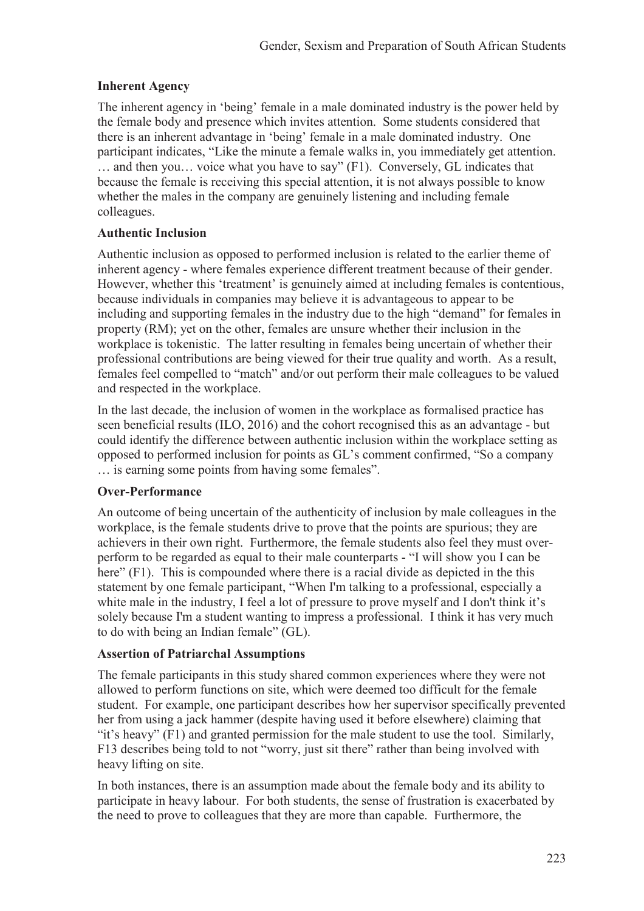#### **Inherent Agency**

The inherent agency in 'being' female in a male dominated industry is the power held by the female body and presence which invites attention. Some students considered that there is an inherent advantage in 'being' female in a male dominated industry. One participant indicates, "Like the minute a female walks in, you immediately get attention. … and then you… voice what you have to say" (F1). Conversely, GL indicates that because the female is receiving this special attention, it is not always possible to know whether the males in the company are genuinely listening and including female colleagues.

#### **Authentic Inclusion**

Authentic inclusion as opposed to performed inclusion is related to the earlier theme of inherent agency - where females experience different treatment because of their gender. However, whether this 'treatment' is genuinely aimed at including females is contentious, because individuals in companies may believe it is advantageous to appear to be including and supporting females in the industry due to the high "demand" for females in property (RM); yet on the other, females are unsure whether their inclusion in the workplace is tokenistic. The latter resulting in females being uncertain of whether their professional contributions are being viewed for their true quality and worth. As a result, females feel compelled to "match" and/or out perform their male colleagues to be valued and respected in the workplace.

In the last decade, the inclusion of women in the workplace as formalised practice has seen beneficial results (ILO, 2016) and the cohort recognised this as an advantage - but could identify the difference between authentic inclusion within the workplace setting as opposed to performed inclusion for points as GL's comment confirmed, "So a company … is earning some points from having some females".

#### **Over-Performance**

An outcome of being uncertain of the authenticity of inclusion by male colleagues in the workplace, is the female students drive to prove that the points are spurious; they are achievers in their own right. Furthermore, the female students also feel they must overperform to be regarded as equal to their male counterparts - "I will show you I can be here" (F1). This is compounded where there is a racial divide as depicted in the this statement by one female participant, "When I'm talking to a professional, especially a white male in the industry, I feel a lot of pressure to prove myself and I don't think it's solely because I'm a student wanting to impress a professional. I think it has very much to do with being an Indian female" (GL).

#### **Assertion of Patriarchal Assumptions**

The female participants in this study shared common experiences where they were not allowed to perform functions on site, which were deemed too difficult for the female student. For example, one participant describes how her supervisor specifically prevented her from using a jack hammer (despite having used it before elsewhere) claiming that "it's heavy" (F1) and granted permission for the male student to use the tool. Similarly, F13 describes being told to not "worry, just sit there" rather than being involved with heavy lifting on site.

In both instances, there is an assumption made about the female body and its ability to participate in heavy labour. For both students, the sense of frustration is exacerbated by the need to prove to colleagues that they are more than capable. Furthermore, the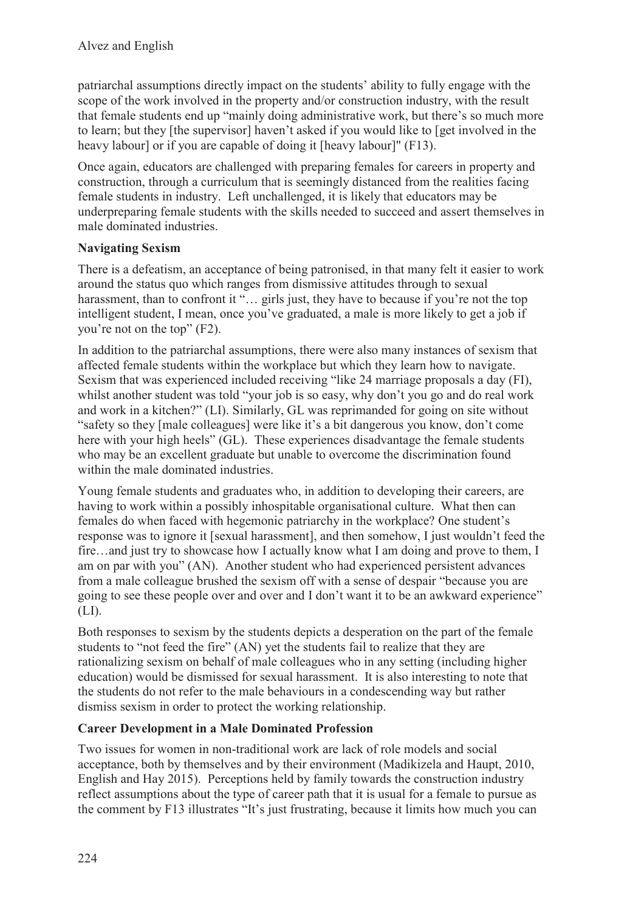patriarchal assumptions directly impact on the students' ability to fully engage with the scope of the work involved in the property and/or construction industry, with the result that female students end up "mainly doing administrative work, but there's so much more to learn; but they [the supervisor] haven't asked if you would like to [get involved in the heavy labour] or if you are capable of doing it [heavy labour]" (F13).

Once again, educators are challenged with preparing females for careers in property and construction, through a curriculum that is seemingly distanced from the realities facing female students in industry. Left unchallenged, it is likely that educators may be underpreparing female students with the skills needed to succeed and assert themselves in male dominated industries.

### **Navigating Sexism**

There is a defeatism, an acceptance of being patronised, in that many felt it easier to work around the status quo which ranges from dismissive attitudes through to sexual harassment, than to confront it "... girls just, they have to because if you're not the top intelligent student, I mean, once you've graduated, a male is more likely to get a job if you're not on the top" (F2).

In addition to the patriarchal assumptions, there were also many instances of sexism that affected female students within the workplace but which they learn how to navigate. Sexism that was experienced included receiving "like 24 marriage proposals a day (FI), whilst another student was told "your job is so easy, why don't you go and do real work and work in a kitchen?" (LI). Similarly, GL was reprimanded for going on site without "safety so they [male colleagues] were like it's a bit dangerous you know, don't come here with your high heels" (GL). These experiences disadvantage the female students who may be an excellent graduate but unable to overcome the discrimination found within the male dominated industries.

Young female students and graduates who, in addition to developing their careers, are having to work within a possibly inhospitable organisational culture. What then can females do when faced with hegemonic patriarchy in the workplace? One student's response was to ignore it [sexual harassment], and then somehow, I just wouldn't feed the fire…and just try to showcase how I actually know what I am doing and prove to them, I am on par with you" (AN). Another student who had experienced persistent advances from a male colleague brushed the sexism off with a sense of despair "because you are going to see these people over and over and I don't want it to be an awkward experience" (LI).

Both responses to sexism by the students depicts a desperation on the part of the female students to "not feed the fire" (AN) yet the students fail to realize that they are rationalizing sexism on behalf of male colleagues who in any setting (including higher education) would be dismissed for sexual harassment. It is also interesting to note that the students do not refer to the male behaviours in a condescending way but rather dismiss sexism in order to protect the working relationship.

#### **Career Development in a Male Dominated Profession**

Two issues for women in non-traditional work are lack of role models and social acceptance, both by themselves and by their environment (Madikizela and Haupt, 2010, English and Hay 2015). Perceptions held by family towards the construction industry reflect assumptions about the type of career path that it is usual for a female to pursue as the comment by F13 illustrates "It's just frustrating, because it limits how much you can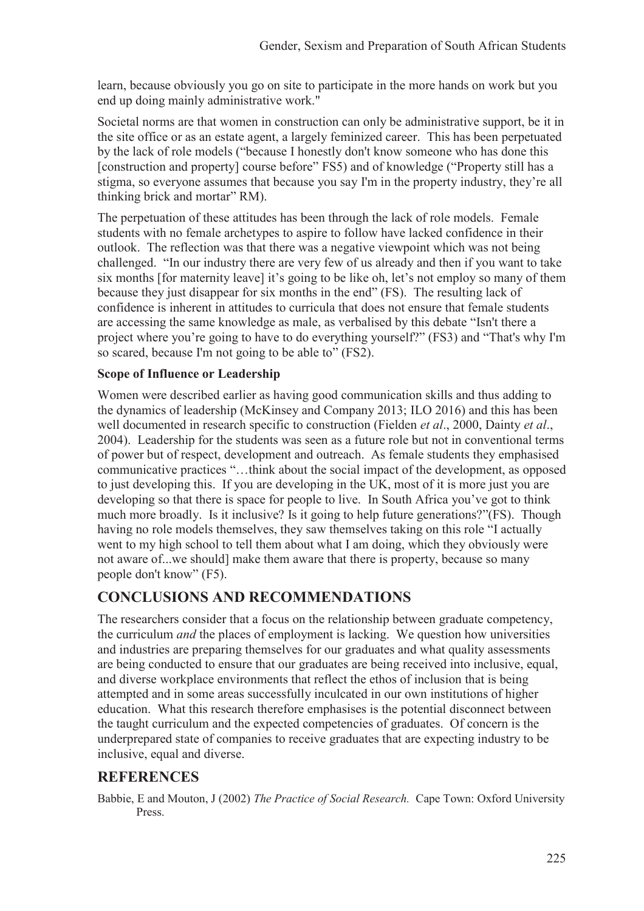learn, because obviously you go on site to participate in the more hands on work but you end up doing mainly administrative work."

Societal norms are that women in construction can only be administrative support, be it in the site office or as an estate agent, a largely feminized career. This has been perpetuated by the lack of role models ("because I honestly don't know someone who has done this [construction and property] course before" FS5) and of knowledge ("Property still has a stigma, so everyone assumes that because you say I'm in the property industry, they're all thinking brick and mortar" RM).

The perpetuation of these attitudes has been through the lack of role models. Female students with no female archetypes to aspire to follow have lacked confidence in their outlook. The reflection was that there was a negative viewpoint which was not being challenged. "In our industry there are very few of us already and then if you want to take six months [for maternity leave] it's going to be like oh, let's not employ so many of them because they just disappear for six months in the end" (FS). The resulting lack of confidence is inherent in attitudes to curricula that does not ensure that female students are accessing the same knowledge as male, as verbalised by this debate "Isn't there a project where you're going to have to do everything yourself?" (FS3) and "That's why I'm so scared, because I'm not going to be able to" (FS2).

#### **Scope of Influence or Leadership**

Women were described earlier as having good communication skills and thus adding to the dynamics of leadership (McKinsey and Company 2013; ILO 2016) and this has been well documented in research specific to construction (Fielden *et al*., 2000, Dainty *et al*., 2004). Leadership for the students was seen as a future role but not in conventional terms of power but of respect, development and outreach. As female students they emphasised communicative practices "…think about the social impact of the development, as opposed to just developing this. If you are developing in the UK, most of it is more just you are developing so that there is space for people to live. In South Africa you've got to think much more broadly. Is it inclusive? Is it going to help future generations?"(FS). Though having no role models themselves, they saw themselves taking on this role "I actually went to my high school to tell them about what I am doing, which they obviously were not aware of...we should] make them aware that there is property, because so many people don't know" (F5).

### **CONCLUSIONS AND RECOMMENDATIONS**

The researchers consider that a focus on the relationship between graduate competency, the curriculum *and* the places of employment is lacking. We question how universities and industries are preparing themselves for our graduates and what quality assessments are being conducted to ensure that our graduates are being received into inclusive, equal, and diverse workplace environments that reflect the ethos of inclusion that is being attempted and in some areas successfully inculcated in our own institutions of higher education. What this research therefore emphasises is the potential disconnect between the taught curriculum and the expected competencies of graduates. Of concern is the underprepared state of companies to receive graduates that are expecting industry to be inclusive, equal and diverse.

### **REFERENCES**

Babbie, E and Mouton, J (2002) *The Practice of Social Research.* Cape Town: Oxford University Press.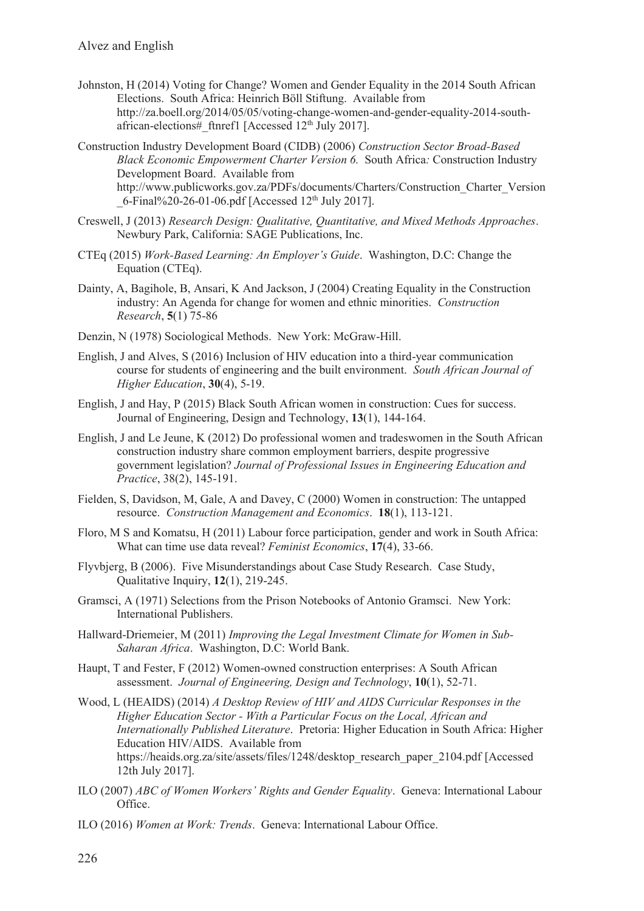- Johnston, H (2014) Voting for Change? Women and Gender Equality in the 2014 South African Elections. South Africa: Heinrich Böll Stiftung. Available from http://za.boell.org/2014/05/05/voting-change-women-and-gender-equality-2014-southafrican-elections#\_ftnref1 [Accessed 12th July 2017].
- Construction Industry Development Board (CIDB) (2006) *Construction Sector Broad-Based Black Economic Empowerment Charter Version 6.* South Africa*:* Construction Industry Development Board. Available from http://www.publicworks.gov.za/PDFs/documents/Charters/Construction\_Charter\_Version  $6$ -Final%20-26-01-06.pdf [Accessed 12<sup>th</sup> July 2017].
- Creswell, J (2013) *Research Design: Qualitative, Quantitative, and Mixed Methods Approaches*. Newbury Park, California: SAGE Publications, Inc.
- CTEq (2015) *Work-Based Learning: An Employer's Guide*. Washington, D.C: Change the Equation (CTEq).
- Dainty, A, Bagihole, B, Ansari, K And Jackson, J (2004) Creating Equality in the Construction industry: An Agenda for change for women and ethnic minorities. *Construction Research*, **5**(1) 75-86
- Denzin, N (1978) Sociological Methods. New York: McGraw-Hill.
- English, J and Alves, S (2016) Inclusion of HIV education into a third-year communication course for students of engineering and the built environment. *South African Journal of Higher Education*, **30**(4), 5-19.
- English, J and Hay, P (2015) Black South African women in construction: Cues for success. Journal of Engineering, Design and Technology, **13**(1), 144-164.
- English, J and Le Jeune, K (2012) Do professional women and tradeswomen in the South African construction industry share common employment barriers, despite progressive government legislation? *Journal of Professional Issues in Engineering Education and Practice*, 38(2), 145-191.
- Fielden, S, Davidson, M, Gale, A and Davey, C (2000) Women in construction: The untapped resource. *Construction Management and Economics*. **18**(1), 113-121.
- Floro, M S and Komatsu, H (2011) Labour force participation, gender and work in South Africa: What can time use data reveal? *Feminist Economics*, **17**(4), 33-66.
- Flyvbjerg, B (2006). Five Misunderstandings about Case Study Research. Case Study, Qualitative Inquiry, **12**(1), 219-245.
- Gramsci, A (1971) Selections from the Prison Notebooks of Antonio Gramsci. New York: International Publishers.
- Hallward-Driemeier, M (2011) *Improving the Legal Investment Climate for Women in Sub-Saharan Africa*. Washington, D.C: World Bank.
- Haupt, T and Fester, F (2012) Women-owned construction enterprises: A South African assessment. *Journal of Engineering, Design and Technology*, **10**(1), 52-71.
- Wood, L (HEAIDS) (2014) *A Desktop Review of HIV and AIDS Curricular Responses in the Higher Education Sector - With a Particular Focus on the Local, African and Internationally Published Literature*. Pretoria: Higher Education in South Africa: Higher Education HIV/AIDS. Available from https://heaids.org.za/site/assets/files/1248/desktop\_research\_paper\_2104.pdf [Accessed 12th July 2017].
- ILO (2007) *ABC of Women Workers' Rights and Gender Equality*. Geneva: International Labour Office.
- ILO (2016) *Women at Work: Trends*. Geneva: International Labour Office.